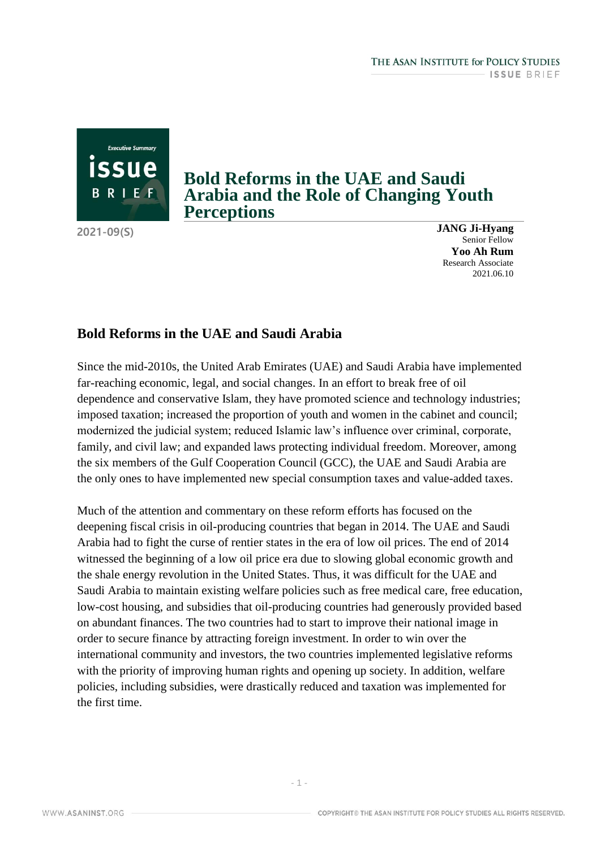## **Bold Reforms in the UAE and Saudi Arabia and the Role of Changing Youth Perceptions**

**2021-09(S)**

**Executive Summary** 

BRIEF

**JANG Ji-Hyang** Senior Fellow **Yoo Ah Rum** Research Associate 2021.06.10

## **Bold Reforms in the UAE and Saudi Arabia**

Since the mid-2010s, the United Arab Emirates (UAE) and Saudi Arabia have implemented far-reaching economic, legal, and social changes. In an effort to break free of oil dependence and conservative Islam, they have promoted science and technology industries; imposed taxation; increased the proportion of youth and women in the cabinet and council; modernized the judicial system; reduced Islamic law's influence over criminal, corporate, family, and civil law; and expanded laws protecting individual freedom. Moreover, among the six members of the Gulf Cooperation Council (GCC), the UAE and Saudi Arabia are the only ones to have implemented new special consumption taxes and value-added taxes.

Much of the attention and commentary on these reform efforts has focused on the deepening fiscal crisis in oil-producing countries that began in 2014. The UAE and Saudi Arabia had to fight the curse of rentier states in the era of low oil prices. The end of 2014 witnessed the beginning of a low oil price era due to slowing global economic growth and the shale energy revolution in the United States. Thus, it was difficult for the UAE and Saudi Arabia to maintain existing welfare policies such as free medical care, free education, low-cost housing, and subsidies that oil-producing countries had generously provided based on abundant finances. The two countries had to start to improve their national image in order to secure finance by attracting foreign investment. In order to win over the international community and investors, the two countries implemented legislative reforms with the priority of improving human rights and opening up society. In addition, welfare policies, including subsidies, were drastically reduced and taxation was implemented for the first time.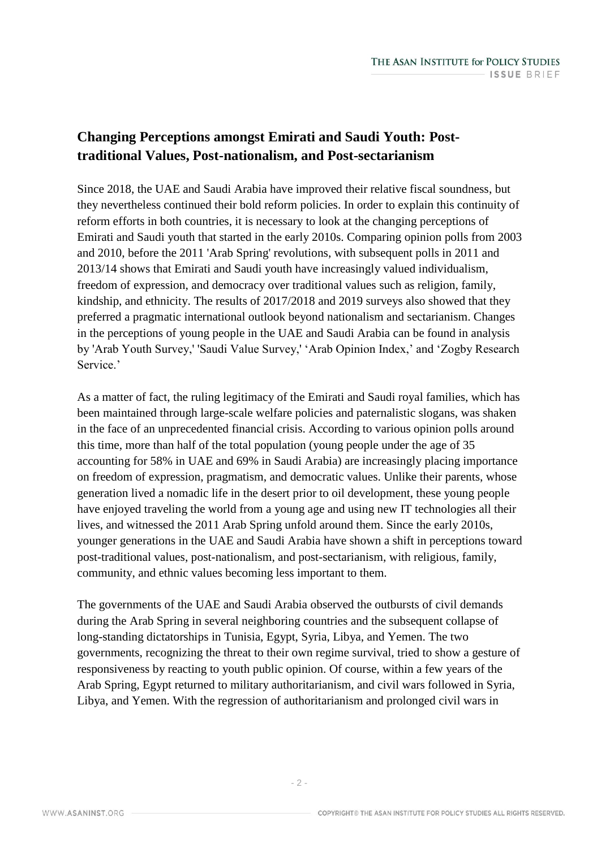## **Changing Perceptions amongst Emirati and Saudi Youth: Posttraditional Values, Post-nationalism, and Post-sectarianism**

Since 2018, the UAE and Saudi Arabia have improved their relative fiscal soundness, but they nevertheless continued their bold reform policies. In order to explain this continuity of reform efforts in both countries, it is necessary to look at the changing perceptions of Emirati and Saudi youth that started in the early 2010s. Comparing opinion polls from 2003 and 2010, before the 2011 'Arab Spring' revolutions, with subsequent polls in 2011 and 2013/14 shows that Emirati and Saudi youth have increasingly valued individualism, freedom of expression, and democracy over traditional values such as religion, family, kindship, and ethnicity. The results of 2017/2018 and 2019 surveys also showed that they preferred a pragmatic international outlook beyond nationalism and sectarianism. Changes in the perceptions of young people in the UAE and Saudi Arabia can be found in analysis by 'Arab Youth Survey,' 'Saudi Value Survey,' 'Arab Opinion Index,' and 'Zogby Research Service.'

As a matter of fact, the ruling legitimacy of the Emirati and Saudi royal families, which has been maintained through large-scale welfare policies and paternalistic slogans, was shaken in the face of an unprecedented financial crisis. According to various opinion polls around this time, more than half of the total population (young people under the age of 35 accounting for 58% in UAE and 69% in Saudi Arabia) are increasingly placing importance on freedom of expression, pragmatism, and democratic values. Unlike their parents, whose generation lived a nomadic life in the desert prior to oil development, these young people have enjoyed traveling the world from a young age and using new IT technologies all their lives, and witnessed the 2011 Arab Spring unfold around them. Since the early 2010s, younger generations in the UAE and Saudi Arabia have shown a shift in perceptions toward post-traditional values, post-nationalism, and post-sectarianism, with religious, family, community, and ethnic values becoming less important to them.

The governments of the UAE and Saudi Arabia observed the outbursts of civil demands during the Arab Spring in several neighboring countries and the subsequent collapse of long-standing dictatorships in Tunisia, Egypt, Syria, Libya, and Yemen. The two governments, recognizing the threat to their own regime survival, tried to show a gesture of responsiveness by reacting to youth public opinion. Of course, within a few years of the Arab Spring, Egypt returned to military authoritarianism, and civil wars followed in Syria, Libya, and Yemen. With the regression of authoritarianism and prolonged civil wars in